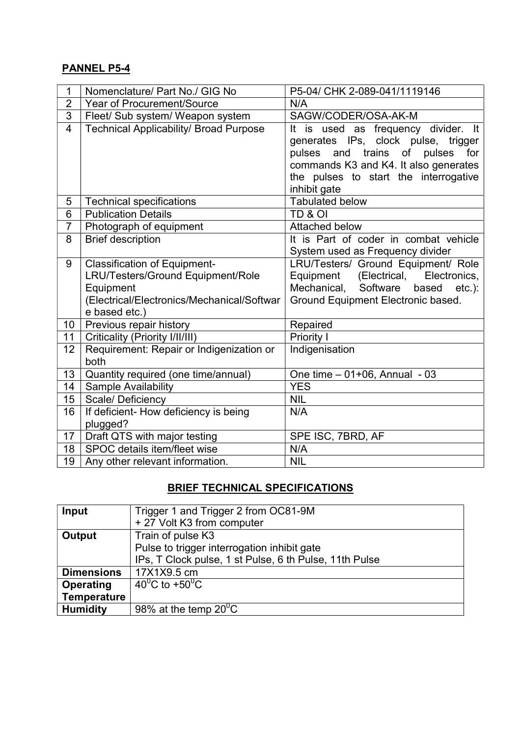## PANNEL P5-4

| 1              | Nomenclature/ Part No./ GIG No                   | P5-04/ CHK 2-089-041/1119146                  |  |  |  |
|----------------|--------------------------------------------------|-----------------------------------------------|--|--|--|
| $\overline{2}$ | <b>Year of Procurement/Source</b>                | N/A                                           |  |  |  |
| $\overline{3}$ | Fleet/ Sub system/ Weapon system                 | SAGW/CODER/OSA-AK-M                           |  |  |  |
| 4              | <b>Technical Applicability/ Broad Purpose</b>    | It is used as frequency divider. It           |  |  |  |
|                |                                                  | generates IPs, clock pulse, trigger           |  |  |  |
|                |                                                  | pulses and trains of pulses<br>for            |  |  |  |
|                |                                                  | commands K3 and K4. It also generates         |  |  |  |
|                |                                                  | the pulses to start the interrogative         |  |  |  |
|                |                                                  | inhibit gate                                  |  |  |  |
| 5              | <b>Technical specifications</b>                  | <b>Tabulated below</b>                        |  |  |  |
| 6              | <b>Publication Details</b>                       | TD & OI                                       |  |  |  |
| $\overline{7}$ | Photograph of equipment                          | Attached below                                |  |  |  |
| 8              | <b>Brief description</b>                         | It is Part of coder in combat vehicle         |  |  |  |
|                |                                                  | System used as Frequency divider              |  |  |  |
| 9              | <b>Classification of Equipment-</b>              | LRU/Testers/ Ground Equipment/ Role           |  |  |  |
|                | LRU/Testers/Ground Equipment/Role                | Equipment (Electrical, Electronics,           |  |  |  |
|                | Equipment                                        | Software<br>Mechanical,<br>based<br>$etc.$ ): |  |  |  |
|                | (Electrical/Electronics/Mechanical/Softwar       | Ground Equipment Electronic based.            |  |  |  |
|                | e based etc.)                                    |                                               |  |  |  |
| 10             | Previous repair history                          | Repaired                                      |  |  |  |
| 11             | Criticality (Priority I/II/III)                  | Priority I                                    |  |  |  |
| 12             | Requirement: Repair or Indigenization or<br>both | Indigenisation                                |  |  |  |
| 13             | Quantity required (one time/annual)              | One time - 01+06, Annual - 03                 |  |  |  |
| 14             | Sample Availability                              | <b>YES</b>                                    |  |  |  |
| 15             | Scale/ Deficiency                                | <b>NIL</b>                                    |  |  |  |
| 16             | If deficient- How deficiency is being            | N/A                                           |  |  |  |
|                | plugged?                                         |                                               |  |  |  |
| 17             | Draft QTS with major testing                     | SPE ISC, 7BRD, AF                             |  |  |  |
| 18             | SPOC details item/fleet wise                     | N/A                                           |  |  |  |
| 19             | Any other relevant information.                  | <b>NIL</b>                                    |  |  |  |

## BRIEF TECHNICAL SPECIFICATIONS

| Input              | Trigger 1 and Trigger 2 from OC81-9M                   |  |  |
|--------------------|--------------------------------------------------------|--|--|
|                    | + 27 Volt K3 from computer                             |  |  |
| Output             | Train of pulse K3                                      |  |  |
|                    | Pulse to trigger interrogation inhibit gate            |  |  |
|                    | IPs, T Clock pulse, 1 st Pulse, 6 th Pulse, 11th Pulse |  |  |
| <b>Dimensions</b>  | 17X1X9.5 cm                                            |  |  |
| Operating          | 40 <sup>°</sup> C to +50 <sup>°</sup> C                |  |  |
| <b>Temperature</b> |                                                        |  |  |
| <b>Humidity</b>    | 98% at the temp $20^0C$                                |  |  |